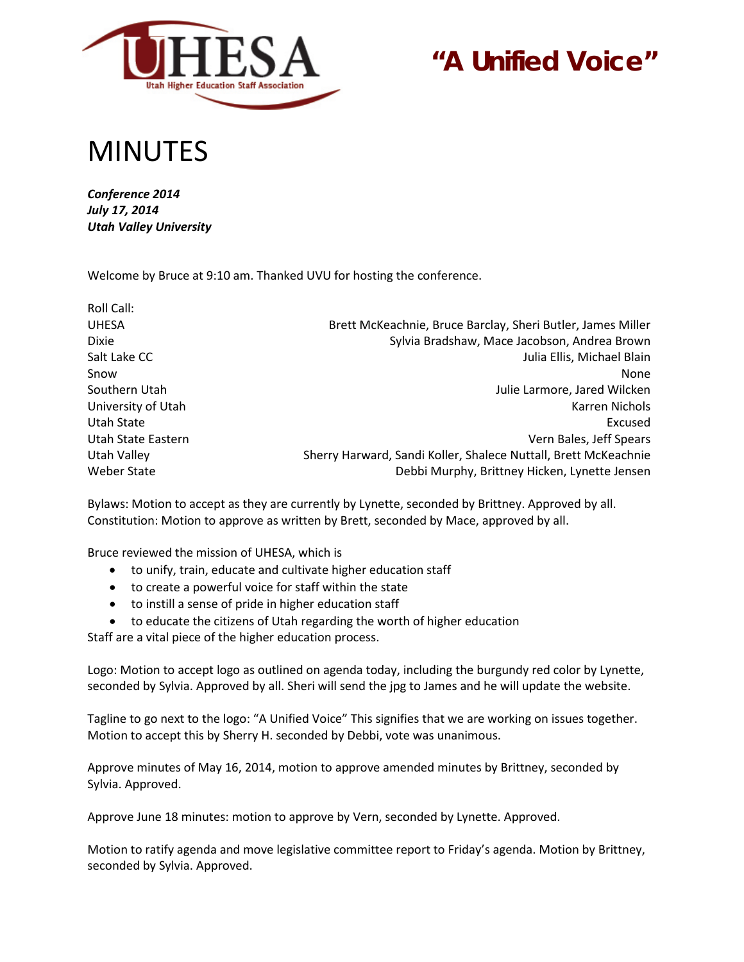

# **"A Unified Voice"**

## MINUTES

*Conference 2014 July 17, 2014 Utah Valley University*

Welcome by Bruce at 9:10 am. Thanked UVU for hosting the conference.

| Roll Call:         |                                                                 |
|--------------------|-----------------------------------------------------------------|
| <b>UHESA</b>       | Brett McKeachnie, Bruce Barclay, Sheri Butler, James Miller     |
| <b>Dixie</b>       | Sylvia Bradshaw, Mace Jacobson, Andrea Brown                    |
| Salt Lake CC       | Julia Ellis, Michael Blain                                      |
| Snow               | None                                                            |
| Southern Utah      | Julie Larmore, Jared Wilcken                                    |
| University of Utah | Karren Nichols                                                  |
| Utah State         | Excused                                                         |
| Utah State Eastern | Vern Bales, Jeff Spears                                         |
| Utah Valley        | Sherry Harward, Sandi Koller, Shalece Nuttall, Brett McKeachnie |
| Weber State        | Debbi Murphy, Brittney Hicken, Lynette Jensen                   |

Bylaws: Motion to accept as they are currently by Lynette, seconded by Brittney. Approved by all. Constitution: Motion to approve as written by Brett, seconded by Mace, approved by all.

Bruce reviewed the mission of UHESA, which is

- to unify, train, educate and cultivate higher education staff
- to create a powerful voice for staff within the state
- to instill a sense of pride in higher education staff
- to educate the citizens of Utah regarding the worth of higher education

Staff are a vital piece of the higher education process.

Logo: Motion to accept logo as outlined on agenda today, including the burgundy red color by Lynette, seconded by Sylvia. Approved by all. Sheri will send the jpg to James and he will update the website.

Tagline to go next to the logo: "A Unified Voice" This signifies that we are working on issues together. Motion to accept this by Sherry H. seconded by Debbi, vote was unanimous.

Approve minutes of May 16, 2014, motion to approve amended minutes by Brittney, seconded by Sylvia. Approved.

Approve June 18 minutes: motion to approve by Vern, seconded by Lynette. Approved.

Motion to ratify agenda and move legislative committee report to Friday's agenda. Motion by Brittney, seconded by Sylvia. Approved.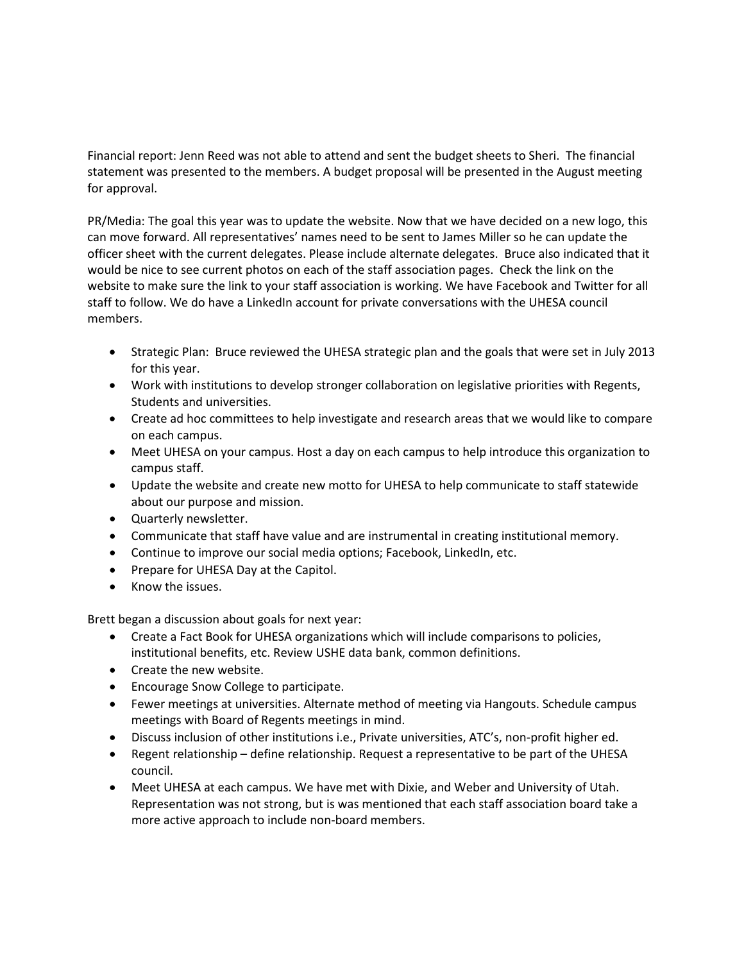Financial report: Jenn Reed was not able to attend and sent the budget sheets to Sheri. The financial statement was presented to the members. A budget proposal will be presented in the August meeting for approval.

PR/Media: The goal this year was to update the website. Now that we have decided on a new logo, this can move forward. All representatives' names need to be sent to James Miller so he can update the officer sheet with the current delegates. Please include alternate delegates. Bruce also indicated that it would be nice to see current photos on each of the staff association pages. Check the link on the website to make sure the link to your staff association is working. We have Facebook and Twitter for all staff to follow. We do have a LinkedIn account for private conversations with the UHESA council members.

- Strategic Plan: Bruce reviewed the UHESA strategic plan and the goals that were set in July 2013 for this year.
- Work with institutions to develop stronger collaboration on legislative priorities with Regents, Students and universities.
- Create ad hoc committees to help investigate and research areas that we would like to compare on each campus.
- Meet UHESA on your campus. Host a day on each campus to help introduce this organization to campus staff.
- Update the website and create new motto for UHESA to help communicate to staff statewide about our purpose and mission.
- Quarterly newsletter.
- Communicate that staff have value and are instrumental in creating institutional memory.
- Continue to improve our social media options; Facebook, LinkedIn, etc.
- Prepare for UHESA Day at the Capitol.
- Know the issues.

Brett began a discussion about goals for next year:

- Create a Fact Book for UHESA organizations which will include comparisons to policies, institutional benefits, etc. Review USHE data bank, common definitions.
- Create the new website.
- Encourage Snow College to participate.
- Fewer meetings at universities. Alternate method of meeting via Hangouts. Schedule campus meetings with Board of Regents meetings in mind.
- Discuss inclusion of other institutions i.e., Private universities, ATC's, non-profit higher ed.
- Regent relationship define relationship. Request a representative to be part of the UHESA council.
- Meet UHESA at each campus. We have met with Dixie, and Weber and University of Utah. Representation was not strong, but is was mentioned that each staff association board take a more active approach to include non-board members.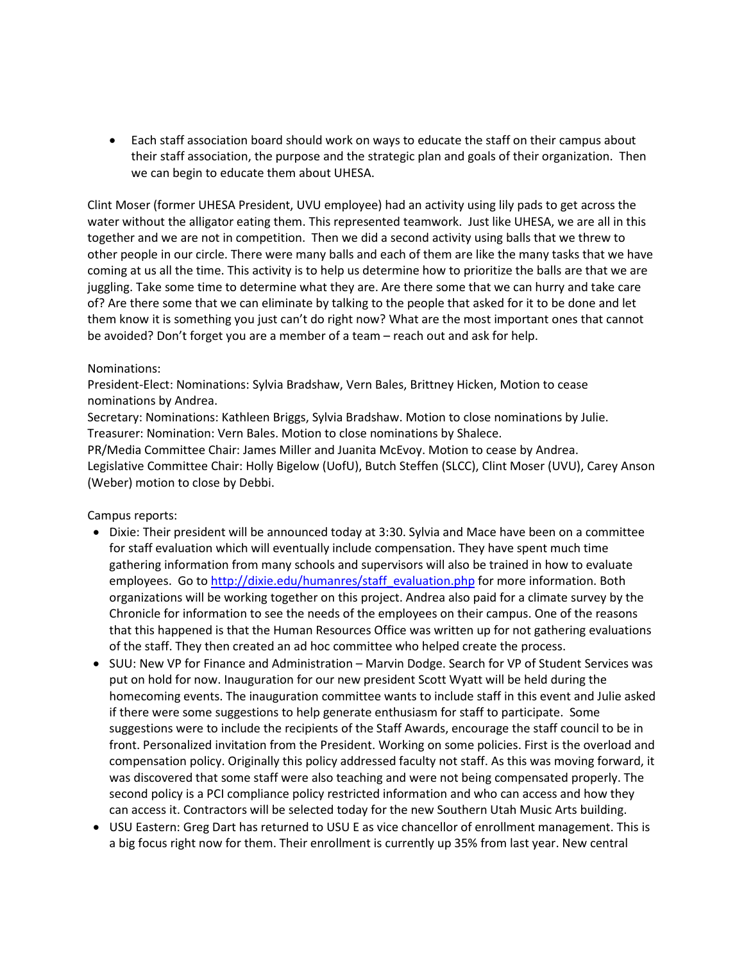• Each staff association board should work on ways to educate the staff on their campus about their staff association, the purpose and the strategic plan and goals of their organization. Then we can begin to educate them about UHESA.

Clint Moser (former UHESA President, UVU employee) had an activity using lily pads to get across the water without the alligator eating them. This represented teamwork. Just like UHESA, we are all in this together and we are not in competition. Then we did a second activity using balls that we threw to other people in our circle. There were many balls and each of them are like the many tasks that we have coming at us all the time. This activity is to help us determine how to prioritize the balls are that we are juggling. Take some time to determine what they are. Are there some that we can hurry and take care of? Are there some that we can eliminate by talking to the people that asked for it to be done and let them know it is something you just can't do right now? What are the most important ones that cannot be avoided? Don't forget you are a member of a team – reach out and ask for help.

#### Nominations:

President-Elect: Nominations: Sylvia Bradshaw, Vern Bales, Brittney Hicken, Motion to cease nominations by Andrea.

Secretary: Nominations: Kathleen Briggs, Sylvia Bradshaw. Motion to close nominations by Julie. Treasurer: Nomination: Vern Bales. Motion to close nominations by Shalece.

PR/Media Committee Chair: James Miller and Juanita McEvoy. Motion to cease by Andrea. Legislative Committee Chair: Holly Bigelow (UofU), Butch Steffen (SLCC), Clint Moser (UVU), Carey Anson (Weber) motion to close by Debbi.

Campus reports:

- Dixie: Their president will be announced today at 3:30. Sylvia and Mace have been on a committee for staff evaluation which will eventually include compensation. They have spent much time gathering information from many schools and supervisors will also be trained in how to evaluate employees. Go t[o http://dixie.edu/humanres/staff\\_evaluation.php](http://dixie.edu/humanres/staff_evaluation.php) for more information. Both organizations will be working together on this project. Andrea also paid for a climate survey by the Chronicle for information to see the needs of the employees on their campus. One of the reasons that this happened is that the Human Resources Office was written up for not gathering evaluations of the staff. They then created an ad hoc committee who helped create the process.
- SUU: New VP for Finance and Administration Marvin Dodge. Search for VP of Student Services was put on hold for now. Inauguration for our new president Scott Wyatt will be held during the homecoming events. The inauguration committee wants to include staff in this event and Julie asked if there were some suggestions to help generate enthusiasm for staff to participate. Some suggestions were to include the recipients of the Staff Awards, encourage the staff council to be in front. Personalized invitation from the President. Working on some policies. First is the overload and compensation policy. Originally this policy addressed faculty not staff. As this was moving forward, it was discovered that some staff were also teaching and were not being compensated properly. The second policy is a PCI compliance policy restricted information and who can access and how they can access it. Contractors will be selected today for the new Southern Utah Music Arts building.
- USU Eastern: Greg Dart has returned to USU E as vice chancellor of enrollment management. This is a big focus right now for them. Their enrollment is currently up 35% from last year. New central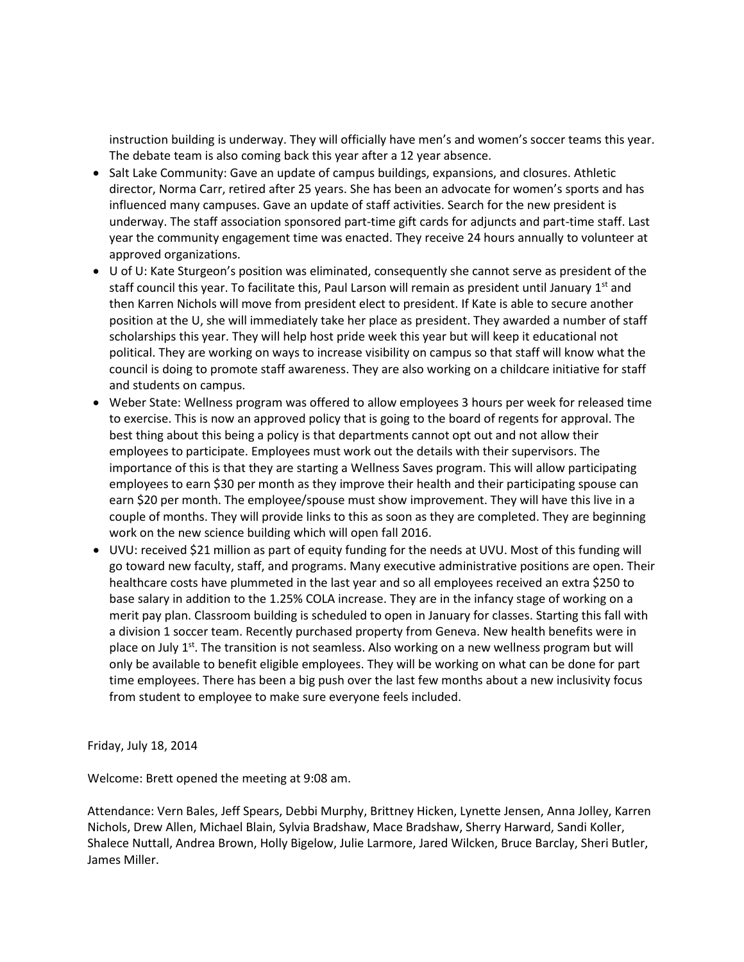instruction building is underway. They will officially have men's and women's soccer teams this year. The debate team is also coming back this year after a 12 year absence.

- Salt Lake Community: Gave an update of campus buildings, expansions, and closures. Athletic director, Norma Carr, retired after 25 years. She has been an advocate for women's sports and has influenced many campuses. Gave an update of staff activities. Search for the new president is underway. The staff association sponsored part-time gift cards for adjuncts and part-time staff. Last year the community engagement time was enacted. They receive 24 hours annually to volunteer at approved organizations.
- U of U: Kate Sturgeon's position was eliminated, consequently she cannot serve as president of the staff council this year. To facilitate this, Paul Larson will remain as president until January  $1<sup>st</sup>$  and then Karren Nichols will move from president elect to president. If Kate is able to secure another position at the U, she will immediately take her place as president. They awarded a number of staff scholarships this year. They will help host pride week this year but will keep it educational not political. They are working on ways to increase visibility on campus so that staff will know what the council is doing to promote staff awareness. They are also working on a childcare initiative for staff and students on campus.
- Weber State: Wellness program was offered to allow employees 3 hours per week for released time to exercise. This is now an approved policy that is going to the board of regents for approval. The best thing about this being a policy is that departments cannot opt out and not allow their employees to participate. Employees must work out the details with their supervisors. The importance of this is that they are starting a Wellness Saves program. This will allow participating employees to earn \$30 per month as they improve their health and their participating spouse can earn \$20 per month. The employee/spouse must show improvement. They will have this live in a couple of months. They will provide links to this as soon as they are completed. They are beginning work on the new science building which will open fall 2016.
- UVU: received \$21 million as part of equity funding for the needs at UVU. Most of this funding will go toward new faculty, staff, and programs. Many executive administrative positions are open. Their healthcare costs have plummeted in the last year and so all employees received an extra \$250 to base salary in addition to the 1.25% COLA increase. They are in the infancy stage of working on a merit pay plan. Classroom building is scheduled to open in January for classes. Starting this fall with a division 1 soccer team. Recently purchased property from Geneva. New health benefits were in place on July  $1<sup>st</sup>$ . The transition is not seamless. Also working on a new wellness program but will only be available to benefit eligible employees. They will be working on what can be done for part time employees. There has been a big push over the last few months about a new inclusivity focus from student to employee to make sure everyone feels included.

Friday, July 18, 2014

Welcome: Brett opened the meeting at 9:08 am.

Attendance: Vern Bales, Jeff Spears, Debbi Murphy, Brittney Hicken, Lynette Jensen, Anna Jolley, Karren Nichols, Drew Allen, Michael Blain, Sylvia Bradshaw, Mace Bradshaw, Sherry Harward, Sandi Koller, Shalece Nuttall, Andrea Brown, Holly Bigelow, Julie Larmore, Jared Wilcken, Bruce Barclay, Sheri Butler, James Miller.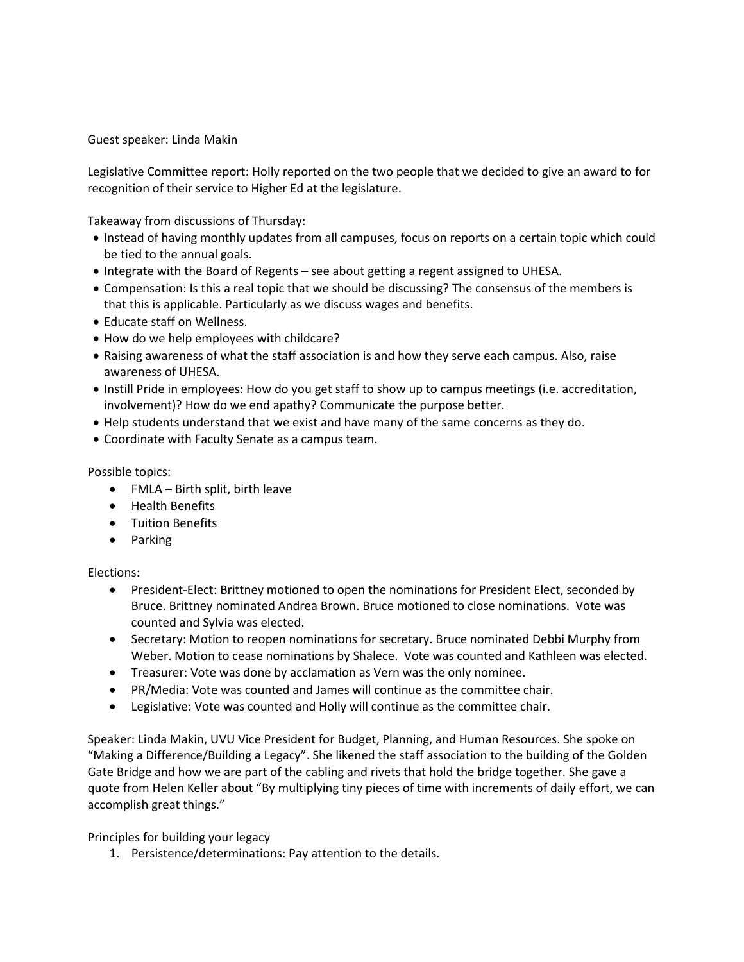Guest speaker: Linda Makin

Legislative Committee report: Holly reported on the two people that we decided to give an award to for recognition of their service to Higher Ed at the legislature.

Takeaway from discussions of Thursday:

- Instead of having monthly updates from all campuses, focus on reports on a certain topic which could be tied to the annual goals.
- Integrate with the Board of Regents see about getting a regent assigned to UHESA.
- Compensation: Is this a real topic that we should be discussing? The consensus of the members is that this is applicable. Particularly as we discuss wages and benefits.
- Educate staff on Wellness.
- How do we help employees with childcare?
- Raising awareness of what the staff association is and how they serve each campus. Also, raise awareness of UHESA.
- Instill Pride in employees: How do you get staff to show up to campus meetings (i.e. accreditation, involvement)? How do we end apathy? Communicate the purpose better.
- Help students understand that we exist and have many of the same concerns as they do.
- Coordinate with Faculty Senate as a campus team.

Possible topics:

- FMLA Birth split, birth leave
- Health Benefits
- Tuition Benefits
- Parking

#### Elections:

- President-Elect: Brittney motioned to open the nominations for President Elect, seconded by Bruce. Brittney nominated Andrea Brown. Bruce motioned to close nominations. Vote was counted and Sylvia was elected.
- Secretary: Motion to reopen nominations for secretary. Bruce nominated Debbi Murphy from Weber. Motion to cease nominations by Shalece. Vote was counted and Kathleen was elected.
- Treasurer: Vote was done by acclamation as Vern was the only nominee.
- PR/Media: Vote was counted and James will continue as the committee chair.
- Legislative: Vote was counted and Holly will continue as the committee chair.

Speaker: Linda Makin, UVU Vice President for Budget, Planning, and Human Resources. She spoke on "Making a Difference/Building a Legacy". She likened the staff association to the building of the Golden Gate Bridge and how we are part of the cabling and rivets that hold the bridge together. She gave a quote from Helen Keller about "By multiplying tiny pieces of time with increments of daily effort, we can accomplish great things."

Principles for building your legacy

1. Persistence/determinations: Pay attention to the details.